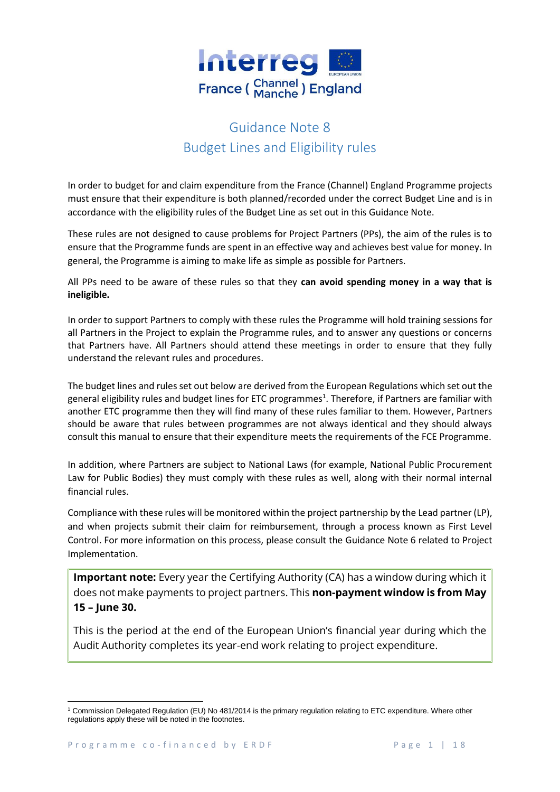

# Guidance Note 8 Budget Lines and Eligibility rules

In order to budget for and claim expenditure from the France (Channel) England Programme projects must ensure that their expenditure is both planned/recorded under the correct Budget Line and is in accordance with the eligibility rules of the Budget Line as set out in this Guidance Note.

These rules are not designed to cause problems for Project Partners (PPs), the aim of the rules is to ensure that the Programme funds are spent in an effective way and achieves best value for money. In general, the Programme is aiming to make life as simple as possible for Partners.

All PPs need to be aware of these rules so that they **can avoid spending money in a way that is ineligible.**

In order to support Partners to comply with these rules the Programme will hold training sessions for all Partners in the Project to explain the Programme rules, and to answer any questions or concerns that Partners have. All Partners should attend these meetings in order to ensure that they fully understand the relevant rules and procedures.

The budget lines and rules set out below are derived from the European Regulations which set out the general eligibility rules and budget lines for ETC programmes<sup>1</sup>. Therefore, if Partners are familiar with another ETC programme then they will find many of these rules familiar to them. However, Partners should be aware that rules between programmes are not always identical and they should always consult this manual to ensure that their expenditure meets the requirements of the FCE Programme.

In addition, where Partners are subject to National Laws (for example, National Public Procurement Law for Public Bodies) they must comply with these rules as well, along with their normal internal financial rules.

Compliance with these rules will be monitored within the project partnership by the Lead partner (LP), and when projects submit their claim for reimbursement, through a process known as First Level Control. For more information on this process, please consult the Guidance Note 6 related to Project Implementation.

**Important note:** Every year the Certifying Authority (CA) has a window during which it does not make payments to project partners. This **non-payment window is from May 15 – June 30.**

This is the period at the end of the European Union's financial year during which the Audit Authority completes its year-end work relating to project expenditure.

**.** 

<sup>1</sup> Commission Delegated Regulation (EU) No 481/2014 is the primary regulation relating to ETC expenditure. Where other regulations apply these will be noted in the footnotes.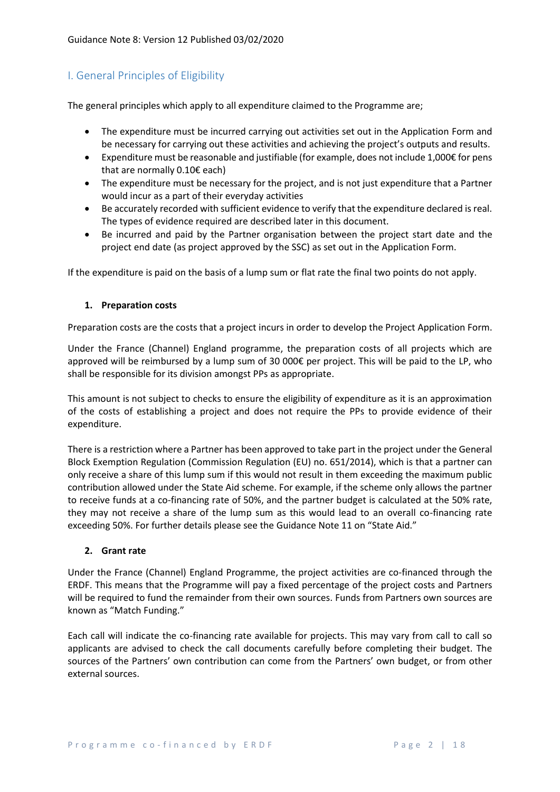# I. General Principles of Eligibility

The general principles which apply to all expenditure claimed to the Programme are;

- The expenditure must be incurred carrying out activities set out in the Application Form and be necessary for carrying out these activities and achieving the project's outputs and results.
- Expenditure must be reasonable and justifiable (for example, does not include 1,000€ for pens that are normally 0.10€ each)
- The expenditure must be necessary for the project, and is not just expenditure that a Partner would incur as a part of their everyday activities
- Be accurately recorded with sufficient evidence to verify that the expenditure declared is real. The types of evidence required are described later in this document.
- Be incurred and paid by the Partner organisation between the project start date and the project end date (as project approved by the SSC) as set out in the Application Form.

If the expenditure is paid on the basis of a lump sum or flat rate the final two points do not apply.

#### **1. Preparation costs**

Preparation costs are the costs that a project incurs in order to develop the Project Application Form.

Under the France (Channel) England programme, the preparation costs of all projects which are approved will be reimbursed by a lump sum of 30 000€ per project. This will be paid to the LP, who shall be responsible for its division amongst PPs as appropriate.

This amount is not subject to checks to ensure the eligibility of expenditure as it is an approximation of the costs of establishing a project and does not require the PPs to provide evidence of their expenditure.

There is a restriction where a Partner has been approved to take part in the project under the General Block Exemption Regulation (Commission Regulation (EU) no. 651/2014), which is that a partner can only receive a share of this lump sum if this would not result in them exceeding the maximum public contribution allowed under the State Aid scheme. For example, if the scheme only allows the partner to receive funds at a co-financing rate of 50%, and the partner budget is calculated at the 50% rate, they may not receive a share of the lump sum as this would lead to an overall co-financing rate exceeding 50%. For further details please see the Guidance Note 11 on "State Aid."

## **2. Grant rate**

Under the France (Channel) England Programme, the project activities are co-financed through the ERDF. This means that the Programme will pay a fixed percentage of the project costs and Partners will be required to fund the remainder from their own sources. Funds from Partners own sources are known as "Match Funding."

Each call will indicate the co-financing rate available for projects. This may vary from call to call so applicants are advised to check the call documents carefully before completing their budget. The sources of the Partners' own contribution can come from the Partners' own budget, or from other external sources.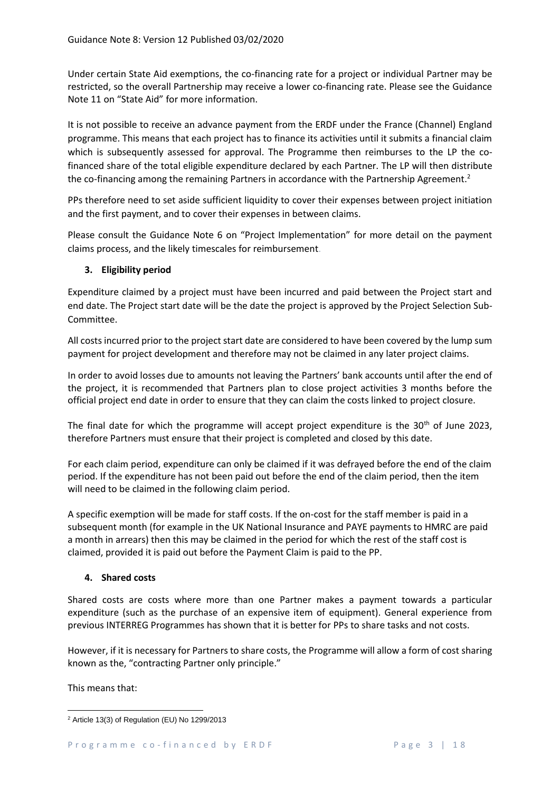Under certain State Aid exemptions, the co-financing rate for a project or individual Partner may be restricted, so the overall Partnership may receive a lower co-financing rate. Please see the Guidance Note 11 on "State Aid" for more information.

It is not possible to receive an advance payment from the ERDF under the France (Channel) England programme. This means that each project has to finance its activities until it submits a financial claim which is subsequently assessed for approval. The Programme then reimburses to the LP the cofinanced share of the total eligible expenditure declared by each Partner. The LP will then distribute the co-financing among the remaining Partners in accordance with the Partnership Agreement.<sup>2</sup>

PPs therefore need to set aside sufficient liquidity to cover their expenses between project initiation and the first payment, and to cover their expenses in between claims.

Please consult the Guidance Note 6 on "Project Implementation" for more detail on the payment claims process, and the likely timescales for reimbursement.

# **3. Eligibility period**

Expenditure claimed by a project must have been incurred and paid between the Project start and end date. The Project start date will be the date the project is approved by the Project Selection Sub-Committee.

All costs incurred prior to the project start date are considered to have been covered by the lump sum payment for project development and therefore may not be claimed in any later project claims.

In order to avoid losses due to amounts not leaving the Partners' bank accounts until after the end of the project, it is recommended that Partners plan to close project activities 3 months before the official project end date in order to ensure that they can claim the costs linked to project closure.

The final date for which the programme will accept project expenditure is the  $30<sup>th</sup>$  of June 2023, therefore Partners must ensure that their project is completed and closed by this date.

For each claim period, expenditure can only be claimed if it was defrayed before the end of the claim period. If the expenditure has not been paid out before the end of the claim period, then the item will need to be claimed in the following claim period.

A specific exemption will be made for staff costs. If the on-cost for the staff member is paid in a subsequent month (for example in the UK National Insurance and PAYE payments to HMRC are paid a month in arrears) then this may be claimed in the period for which the rest of the staff cost is claimed, provided it is paid out before the Payment Claim is paid to the PP.

# **4. Shared costs**

Shared costs are costs where more than one Partner makes a payment towards a particular expenditure (such as the purchase of an expensive item of equipment). General experience from previous INTERREG Programmes has shown that it is better for PPs to share tasks and not costs.

However, if it is necessary for Partners to share costs, the Programme will allow a form of cost sharing known as the, "contracting Partner only principle."

This means that:

**<sup>.</sup>** <sup>2</sup> Article 13(3) of Regulation (EU) No 1299/2013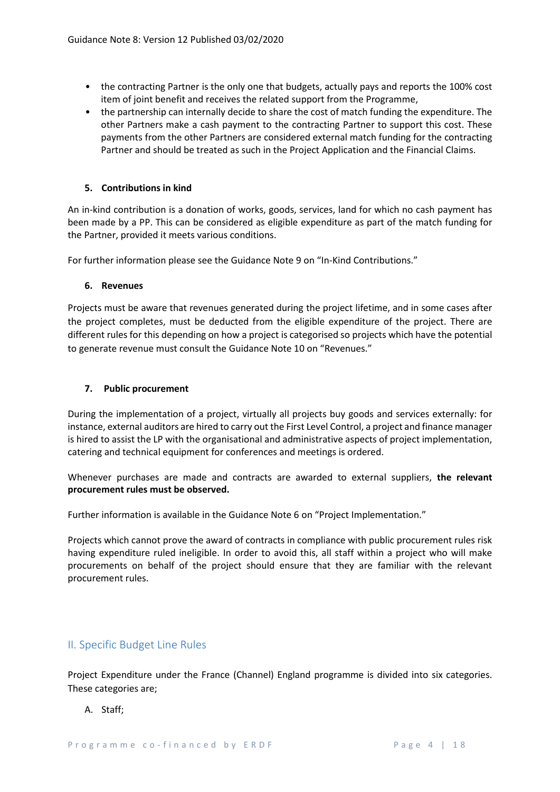- the contracting Partner is the only one that budgets, actually pays and reports the 100% cost item of joint benefit and receives the related support from the Programme,
- the partnership can internally decide to share the cost of match funding the expenditure. The other Partners make a cash payment to the contracting Partner to support this cost. These payments from the other Partners are considered external match funding for the contracting Partner and should be treated as such in the Project Application and the Financial Claims.

## **5. Contributions in kind**

An in-kind contribution is a donation of works, goods, services, land for which no cash payment has been made by a PP. This can be considered as eligible expenditure as part of the match funding for the Partner, provided it meets various conditions.

For further information please see the Guidance Note 9 on "In-Kind Contributions."

## **6. Revenues**

Projects must be aware that revenues generated during the project lifetime, and in some cases after the project completes, must be deducted from the eligible expenditure of the project. There are different rules for this depending on how a project is categorised so projects which have the potential to generate revenue must consult the Guidance Note 10 on "Revenues."

## **7. Public procurement**

During the implementation of a project, virtually all projects buy goods and services externally: for instance, external auditors are hired to carry out the First Level Control, a project and finance manager is hired to assist the LP with the organisational and administrative aspects of project implementation, catering and technical equipment for conferences and meetings is ordered.

Whenever purchases are made and contracts are awarded to external suppliers, **the relevant procurement rules must be observed.** 

Further information is available in the Guidance Note 6 on "Project Implementation."

Projects which cannot prove the award of contracts in compliance with public procurement rules risk having expenditure ruled ineligible. In order to avoid this, all staff within a project who will make procurements on behalf of the project should ensure that they are familiar with the relevant procurement rules.

# II. Specific Budget Line Rules

Project Expenditure under the France (Channel) England programme is divided into six categories. These categories are;

A. Staff;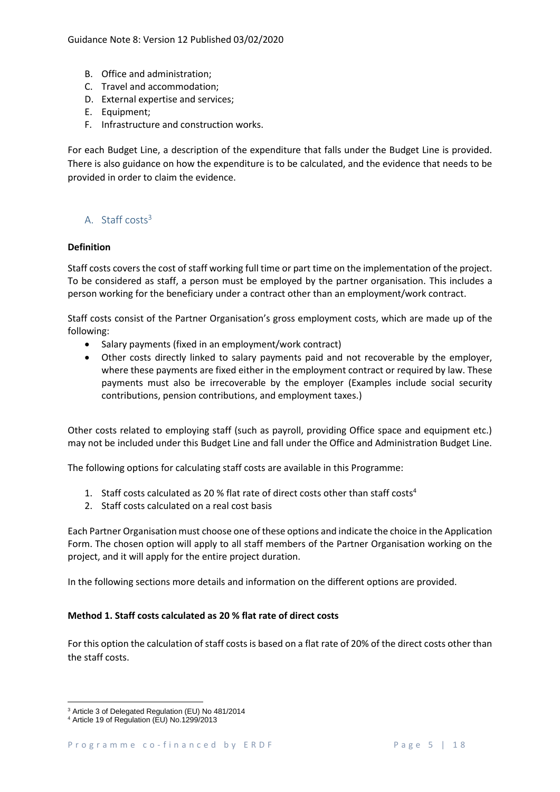- B. Office and administration;
- C. Travel and accommodation;
- D. External expertise and services;
- E. Equipment;
- F. Infrastructure and construction works.

For each Budget Line, a description of the expenditure that falls under the Budget Line is provided. There is also guidance on how the expenditure is to be calculated, and the evidence that needs to be provided in order to claim the evidence.

# $A$  Staff costs<sup>3</sup>

## **Definition**

Staff costs covers the cost of staff working full time or part time on the implementation of the project. To be considered as staff, a person must be employed by the partner organisation. This includes a person working for the beneficiary under a contract other than an employment/work contract.

Staff costs consist of the Partner Organisation's gross employment costs, which are made up of the following:

- Salary payments (fixed in an employment/work contract)
- Other costs directly linked to salary payments paid and not recoverable by the employer, where these payments are fixed either in the employment contract or required by law. These payments must also be irrecoverable by the employer (Examples include social security contributions, pension contributions, and employment taxes.)

Other costs related to employing staff (such as payroll, providing Office space and equipment etc.) may not be included under this Budget Line and fall under the Office and Administration Budget Line.

The following options for calculating staff costs are available in this Programme:

- 1. Staff costs calculated as 20 % flat rate of direct costs other than staff costs<sup>4</sup>
- 2. Staff costs calculated on a real cost basis

Each Partner Organisation must choose one of these options and indicate the choice in the Application Form. The chosen option will apply to all staff members of the Partner Organisation working on the project, and it will apply for the entire project duration.

In the following sections more details and information on the different options are provided.

## **Method 1. Staff costs calculated as 20 % flat rate of direct costs**

For this option the calculation of staff costs is based on a flat rate of 20% of the direct costs other than the staff costs.

**.** 

<sup>3</sup> Article 3 of Delegated Regulation (EU) No 481/2014

<sup>4</sup> Article 19 of Regulation (EU) No.1299/2013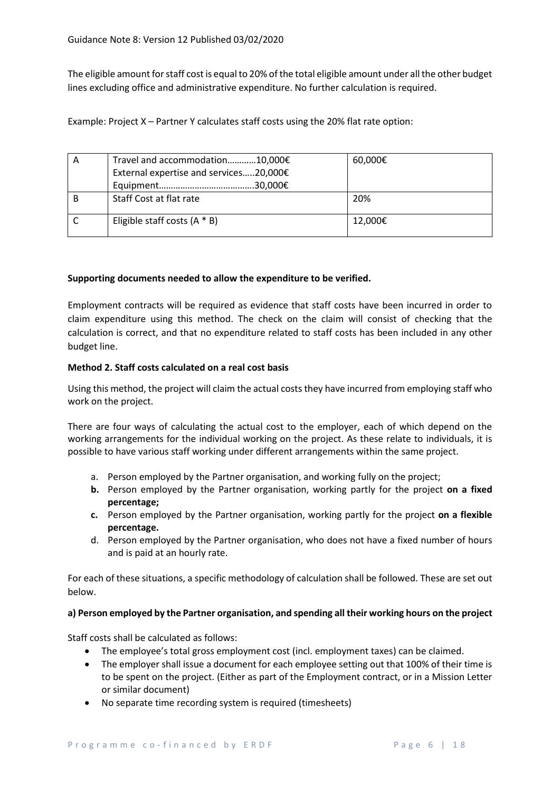The eligible amount for staff cost is equal to 20% of the total eligible amount under all the other budget lines excluding office and administrative expenditure. No further calculation is required.

Example: Project X – Partner Y calculates staff costs using the 20% flat rate option:

| A | Travel and accommodation10,000€        | 60,000€ |
|---|----------------------------------------|---------|
|   | External expertise and services20,000€ |         |
|   |                                        |         |
|   | Staff Cost at flat rate                | 20%     |
|   | Eligible staff costs $(A * B)$         | 12.000€ |

## **Supporting documents needed to allow the expenditure to be verified.**

Employment contracts will be required as evidence that staff costs have been incurred in order to claim expenditure using this method. The check on the claim will consist of checking that the calculation is correct, and that no expenditure related to staff costs has been included in any other budget line.

## **Method 2. Staff costs calculated on a real cost basis**

Using this method, the project will claim the actual costs they have incurred from employing staff who work on the project.

There are four ways of calculating the actual cost to the employer, each of which depend on the working arrangements for the individual working on the project. As these relate to individuals, it is possible to have various staff working under different arrangements within the same project.

- a. Person employed by the Partner organisation, and working fully on the project;
- **b.** Person employed by the Partner organisation, working partly for the project **on a fixed percentage;**
- **c.** Person employed by the Partner organisation, working partly for the project **on a flexible percentage.**
- d. Person employed by the Partner organisation, who does not have a fixed number of hours and is paid at an hourly rate.

For each of these situations, a specific methodology of calculation shall be followed. These are set out below.

## **a) Person employed by the Partner organisation, and spending all their working hours on the project**

Staff costs shall be calculated as follows:

- The employee's total gross employment cost (incl. employment taxes) can be claimed.
- The employer shall issue a document for each employee setting out that 100% of their time is to be spent on the project. (Either as part of the Employment contract, or in a Mission Letter or similar document)
- No separate time recording system is required (timesheets)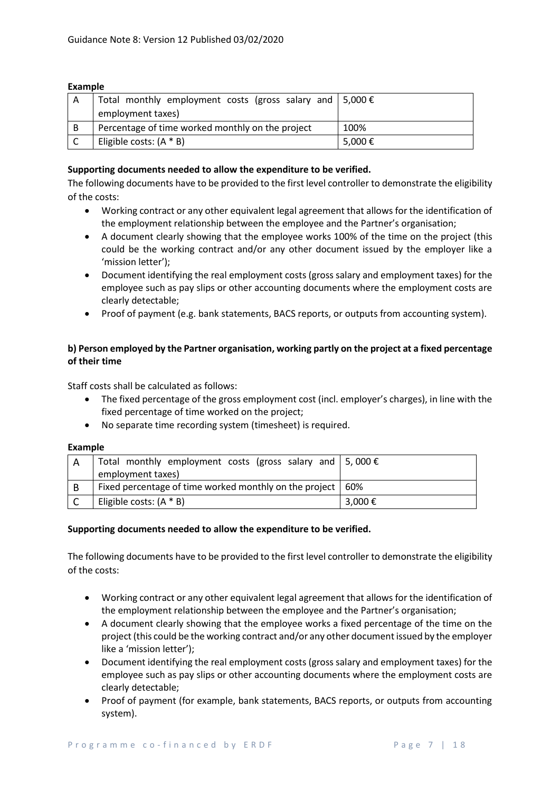#### **Example**

|   | Total monthly employment costs (gross salary and $\vert 5,000 \in$ |        |
|---|--------------------------------------------------------------------|--------|
|   | employment taxes)                                                  |        |
| B | Percentage of time worked monthly on the project                   | 100%   |
|   | Eligible costs: $(A * B)$                                          | 5,000€ |

## **Supporting documents needed to allow the expenditure to be verified.**

The following documents have to be provided to the first level controller to demonstrate the eligibility of the costs:

- Working contract or any other equivalent legal agreement that allows for the identification of the employment relationship between the employee and the Partner's organisation;
- A document clearly showing that the employee works 100% of the time on the project (this could be the working contract and/or any other document issued by the employer like a 'mission letter');
- Document identifying the real employment costs (gross salary and employment taxes) for the employee such as pay slips or other accounting documents where the employment costs are clearly detectable;
- Proof of payment (e.g. bank statements, BACS reports, or outputs from accounting system).

## **b) Person employed by the Partner organisation, working partly on the project at a fixed percentage of their time**

Staff costs shall be calculated as follows:

- The fixed percentage of the gross employment cost (incl. employer's charges), in line with the fixed percentage of time worked on the project;
- No separate time recording system (timesheet) is required.

#### **Example**

|   | Total monthly employment costs (gross salary and $\vert 5,000 \in$ |         |
|---|--------------------------------------------------------------------|---------|
|   | employment taxes)                                                  |         |
| B | Fixed percentage of time worked monthly on the project   60%       |         |
|   | Eligible costs: $(A * B)$                                          | 3,000 € |

## **Supporting documents needed to allow the expenditure to be verified.**

The following documents have to be provided to the first level controller to demonstrate the eligibility of the costs:

- Working contract or any other equivalent legal agreement that allows for the identification of the employment relationship between the employee and the Partner's organisation;
- A document clearly showing that the employee works a fixed percentage of the time on the project (this could be the working contract and/or any other document issued by the employer like a 'mission letter');
- Document identifying the real employment costs (gross salary and employment taxes) for the employee such as pay slips or other accounting documents where the employment costs are clearly detectable;
- Proof of payment (for example, bank statements, BACS reports, or outputs from accounting system).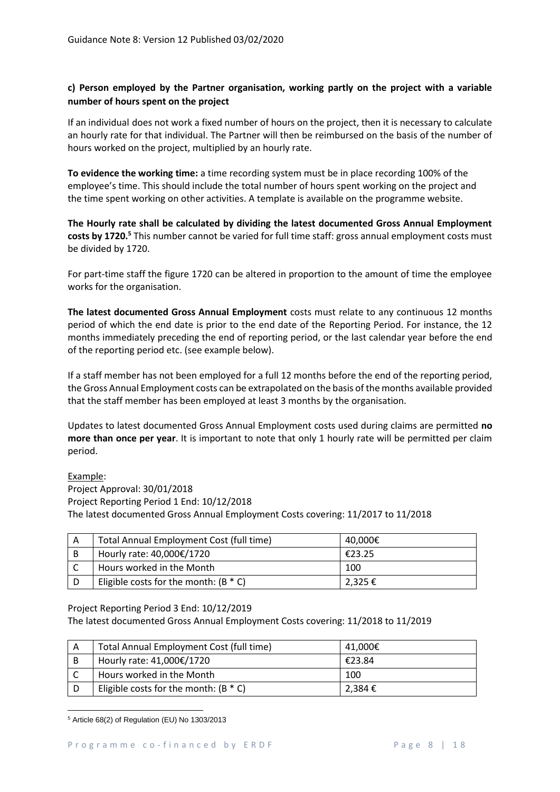# **c) Person employed by the Partner organisation, working partly on the project with a variable number of hours spent on the project**

If an individual does not work a fixed number of hours on the project, then it is necessary to calculate an hourly rate for that individual. The Partner will then be reimbursed on the basis of the number of hours worked on the project, multiplied by an hourly rate.

**To evidence the working time:** a time recording system must be in place recording 100% of the employee's time. This should include the total number of hours spent working on the project and the time spent working on other activities. A template is available on the programme website.

**The Hourly rate shall be calculated by dividing the latest documented Gross Annual Employment costs by 1720.<sup>5</sup>** This number cannot be varied for full time staff: gross annual employment costs must be divided by 1720.

For part-time staff the figure 1720 can be altered in proportion to the amount of time the employee works for the organisation.

**The latest documented Gross Annual Employment** costs must relate to any continuous 12 months period of which the end date is prior to the end date of the Reporting Period. For instance, the 12 months immediately preceding the end of reporting period, or the last calendar year before the end of the reporting period etc. (see example below).

If a staff member has not been employed for a full 12 months before the end of the reporting period, the Gross Annual Employment costs can be extrapolated on the basis of the months available provided that the staff member has been employed at least 3 months by the organisation.

Updates to latest documented Gross Annual Employment costs used during claims are permitted **no more than once per year**. It is important to note that only 1 hourly rate will be permitted per claim period.

## Example:

Project Approval: 30/01/2018 Project Reporting Period 1 End: 10/12/2018 The latest documented Gross Annual Employment Costs covering: 11/2017 to 11/2018

| Total Annual Employment Cost (full time) | 40.000€     |
|------------------------------------------|-------------|
| Hourly rate: 40,000€/1720                | €23.25      |
| Hours worked in the Month                | 100         |
| Eligible costs for the month: $(B * C)$  | $2,325 \in$ |

## Project Reporting Period 3 End: 10/12/2019

The latest documented Gross Annual Employment Costs covering: 11/2018 to 11/2019

| Total Annual Employment Cost (full time) | 41,000€ |
|------------------------------------------|---------|
| Hourly rate: 41,000€/1720                | €23.84  |
| Hours worked in the Month                | 100     |
| Eligible costs for the month: $(B * C)$  | 2,384 € |

**<sup>.</sup>** <sup>5</sup> Article 68(2) of Regulation (EU) No 1303/2013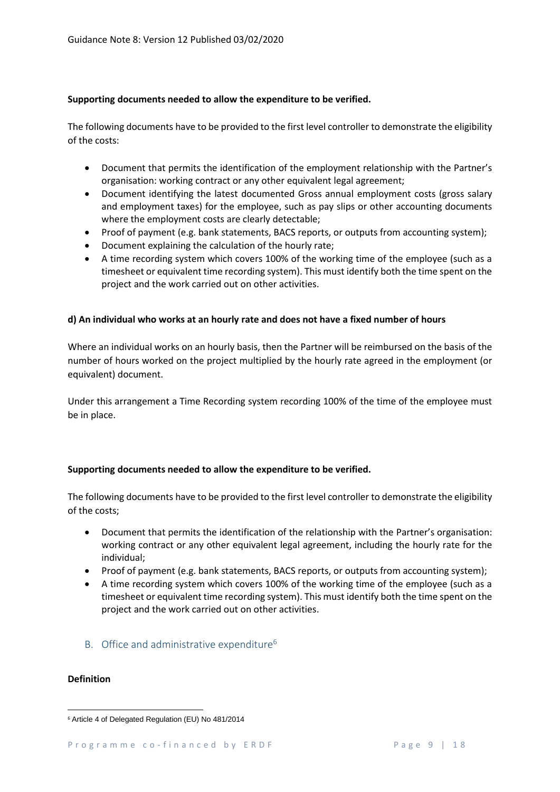## **Supporting documents needed to allow the expenditure to be verified.**

The following documents have to be provided to the first level controller to demonstrate the eligibility of the costs:

- Document that permits the identification of the employment relationship with the Partner's organisation: working contract or any other equivalent legal agreement;
- Document identifying the latest documented Gross annual employment costs (gross salary and employment taxes) for the employee, such as pay slips or other accounting documents where the employment costs are clearly detectable;
- Proof of payment (e.g. bank statements, BACS reports, or outputs from accounting system);
- Document explaining the calculation of the hourly rate;
- A time recording system which covers 100% of the working time of the employee (such as a timesheet or equivalent time recording system). This must identify both the time spent on the project and the work carried out on other activities.

## **d) An individual who works at an hourly rate and does not have a fixed number of hours**

Where an individual works on an hourly basis, then the Partner will be reimbursed on the basis of the number of hours worked on the project multiplied by the hourly rate agreed in the employment (or equivalent) document.

Under this arrangement a Time Recording system recording 100% of the time of the employee must be in place.

## **Supporting documents needed to allow the expenditure to be verified.**

The following documents have to be provided to the first level controller to demonstrate the eligibility of the costs;

- Document that permits the identification of the relationship with the Partner's organisation: working contract or any other equivalent legal agreement, including the hourly rate for the individual;
- Proof of payment (e.g. bank statements, BACS reports, or outputs from accounting system);
- A time recording system which covers 100% of the working time of the employee (such as a timesheet or equivalent time recording system). This must identify both the time spent on the project and the work carried out on other activities.
- B. Office and administrative expenditure<sup>6</sup>

## **Definition**

 $\overline{a}$ 

<sup>6</sup> Article 4 of Delegated Regulation (EU) No 481/2014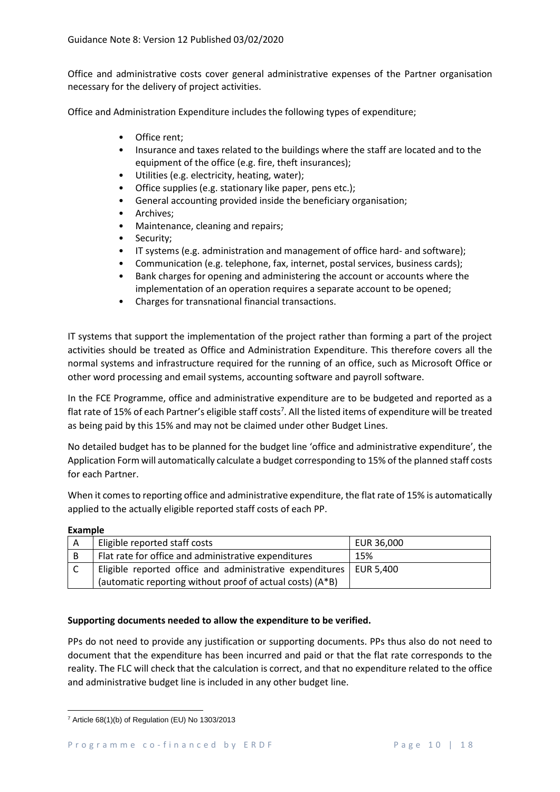Office and administrative costs cover general administrative expenses of the Partner organisation necessary for the delivery of project activities.

Office and Administration Expenditure includes the following types of expenditure;

- Office rent;
- Insurance and taxes related to the buildings where the staff are located and to the equipment of the office (e.g. fire, theft insurances);
- Utilities (e.g. electricity, heating, water);
- Office supplies (e.g. stationary like paper, pens etc.);
- General accounting provided inside the beneficiary organisation;
- Archives;
- Maintenance, cleaning and repairs;
- Security;
- IT systems (e.g. administration and management of office hard- and software);
- Communication (e.g. telephone, fax, internet, postal services, business cards);
- Bank charges for opening and administering the account or accounts where the implementation of an operation requires a separate account to be opened;
- Charges for transnational financial transactions.

IT systems that support the implementation of the project rather than forming a part of the project activities should be treated as Office and Administration Expenditure. This therefore covers all the normal systems and infrastructure required for the running of an office, such as Microsoft Office or other word processing and email systems, accounting software and payroll software.

In the FCE Programme, office and administrative expenditure are to be budgeted and reported as a flat rate of 15% of each Partner's eligible staff costs<sup>7</sup>. All the listed items of expenditure will be treated as being paid by this 15% and may not be claimed under other Budget Lines.

No detailed budget has to be planned for the budget line 'office and administrative expenditure', the Application Form will automatically calculate a budget corresponding to 15% of the planned staff costs for each Partner.

When it comes to reporting office and administrative expenditure, the flat rate of 15% is automatically applied to the actually eligible reported staff costs of each PP.

**Example**

| Α | Eligible reported staff costs                                        | EUR 36,000 |
|---|----------------------------------------------------------------------|------------|
| B | Flat rate for office and administrative expenditures                 | 15%        |
|   | Eligible reported office and administrative expenditures   EUR 5,400 |            |
|   | (automatic reporting without proof of actual costs) (A*B)            |            |

## **Supporting documents needed to allow the expenditure to be verified.**

PPs do not need to provide any justification or supporting documents. PPs thus also do not need to document that the expenditure has been incurred and paid or that the flat rate corresponds to the reality. The FLC will check that the calculation is correct, and that no expenditure related to the office and administrative budget line is included in any other budget line.

**<sup>.</sup>**  $7$  Article 68(1)(b) of Regulation (EU) No 1303/2013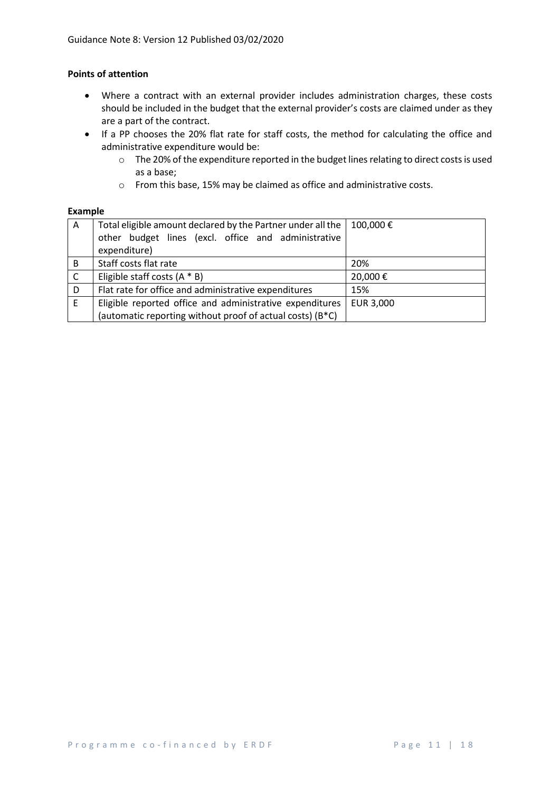## **Points of attention**

- Where a contract with an external provider includes administration charges, these costs should be included in the budget that the external provider's costs are claimed under as they are a part of the contract.
- If a PP chooses the 20% flat rate for staff costs, the method for calculating the office and administrative expenditure would be:
	- o The 20% of the expenditure reported in the budget lines relating to direct costs is used as a base;
	- o From this base, 15% may be claimed as office and administrative costs.

#### **Example**

| A            | Total eligible amount declared by the Partner under all the            | 100,000€  |
|--------------|------------------------------------------------------------------------|-----------|
|              | other budget lines (excl. office and administrative                    |           |
|              | expenditure)                                                           |           |
| B            | Staff costs flat rate                                                  | 20%       |
| $\mathsf{C}$ | Eligible staff costs $(A * B)$                                         | 20,000€   |
| D            | Flat rate for office and administrative expenditures                   | 15%       |
| E            | Eligible reported office and administrative expenditures               | EUR 3,000 |
|              | (automatic reporting without proof of actual costs) (B <sup>*</sup> C) |           |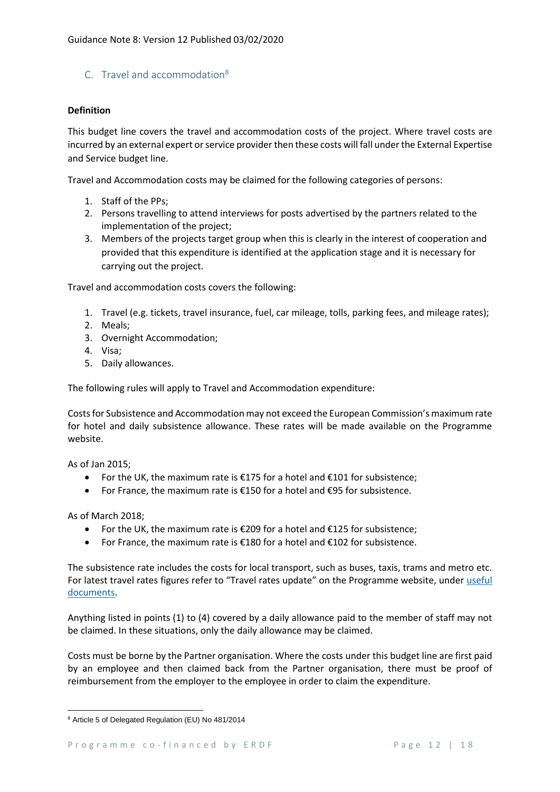## C. Travel and accommodation<sup>8</sup>

#### **Definition**

This budget line covers the travel and accommodation costs of the project. Where travel costs are incurred by an external expert or service provider then these costs will fall under the External Expertise and Service budget line.

Travel and Accommodation costs may be claimed for the following categories of persons:

- 1. Staff of the PPs;
- 2. Persons travelling to attend interviews for posts advertised by the partners related to the implementation of the project;
- 3. Members of the projects target group when this is clearly in the interest of cooperation and provided that this expenditure is identified at the application stage and it is necessary for carrying out the project.

Travel and accommodation costs covers the following:

- 1. Travel (e.g. tickets, travel insurance, fuel, car mileage, tolls, parking fees, and mileage rates);
- 2. Meals;
- 3. Overnight Accommodation;
- 4. Visa;
- 5. Daily allowances.

The following rules will apply to Travel and Accommodation expenditure:

Costsfor Subsistence and Accommodation may not exceed the European Commission's maximum rate for hotel and daily subsistence allowance. These rates will be made available on the Programme website.

As of Jan 2015;

- For the UK, the maximum rate is  $\epsilon$ 175 for a hotel and  $\epsilon$ 101 for subsistence;
- For France, the maximum rate is €150 for a hotel and €95 for subsistence.

As of March 2018;

**.** 

- For the UK, the maximum rate is €209 for a hotel and €125 for subsistence;
- For France, the maximum rate is €180 for a hotel and €102 for subsistence.

The subsistence rate includes the costs for local transport, such as buses, taxis, trams and metro etc. For latest travel rates figures refer to "Travel rates update" on the Programme website, under useful [documents.](https://www.channelmanche.com/en/programme/useful-documents/)

Anything listed in points (1) to (4) covered by a daily allowance paid to the member of staff may not be claimed. In these situations, only the daily allowance may be claimed.

Costs must be borne by the Partner organisation. Where the costs under this budget line are first paid by an employee and then claimed back from the Partner organisation, there must be proof of reimbursement from the employer to the employee in order to claim the expenditure.

<sup>8</sup> Article 5 of Delegated Regulation (EU) No 481/2014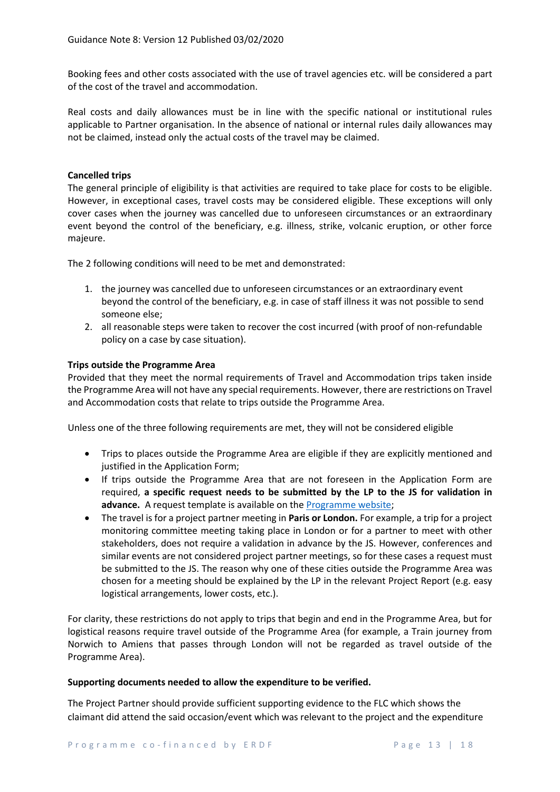Booking fees and other costs associated with the use of travel agencies etc. will be considered a part of the cost of the travel and accommodation.

Real costs and daily allowances must be in line with the specific national or institutional rules applicable to Partner organisation. In the absence of national or internal rules daily allowances may not be claimed, instead only the actual costs of the travel may be claimed.

#### **Cancelled trips**

The general principle of eligibility is that activities are required to take place for costs to be eligible. However, in exceptional cases, travel costs may be considered eligible. These exceptions will only cover cases when the journey was cancelled due to unforeseen circumstances or an extraordinary event beyond the control of the beneficiary, e.g. illness, strike, volcanic eruption, or other force majeure.

The 2 following conditions will need to be met and demonstrated:

- 1. the journey was cancelled due to unforeseen circumstances or an extraordinary event beyond the control of the beneficiary, e.g. in case of staff illness it was not possible to send someone else;
- 2. all reasonable steps were taken to recover the cost incurred (with proof of non-refundable policy on a case by case situation).

#### **Trips outside the Programme Area**

Provided that they meet the normal requirements of Travel and Accommodation trips taken inside the Programme Area will not have any special requirements. However, there are restrictions on Travel and Accommodation costs that relate to trips outside the Programme Area.

Unless one of the three following requirements are met, they will not be considered eligible

- Trips to places outside the Programme Area are eligible if they are explicitly mentioned and justified in the Application Form;
- If trips outside the Programme Area that are not foreseen in the Application Form are required, **a specific request needs to be submitted by the LP to the JS for validation in**  advance. A request template is available on the **Programme website**;
- The travel is for a project partner meeting in **Paris or London.** For example, a trip for a project monitoring committee meeting taking place in London or for a partner to meet with other stakeholders, does not require a validation in advance by the JS. However, conferences and similar events are not considered project partner meetings, so for these cases a request must be submitted to the JS. The reason why one of these cities outside the Programme Area was chosen for a meeting should be explained by the LP in the relevant Project Report (e.g. easy logistical arrangements, lower costs, etc.).

For clarity, these restrictions do not apply to trips that begin and end in the Programme Area, but for logistical reasons require travel outside of the Programme Area (for example, a Train journey from Norwich to Amiens that passes through London will not be regarded as travel outside of the Programme Area).

#### **Supporting documents needed to allow the expenditure to be verified.**

The Project Partner should provide sufficient supporting evidence to the FLC which shows the claimant did attend the said occasion/event which was relevant to the project and the expenditure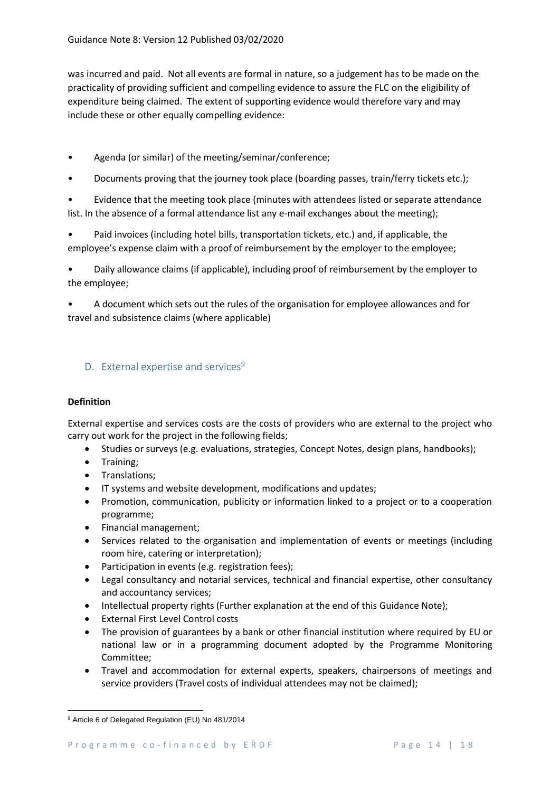was incurred and paid. Not all events are formal in nature, so a judgement has to be made on the practicality of providing sufficient and compelling evidence to assure the FLC on the eligibility of expenditure being claimed. The extent of supporting evidence would therefore vary and may include these or other equally compelling evidence:

- Agenda (or similar) of the meeting/seminar/conference;
- Documents proving that the journey took place (boarding passes, train/ferry tickets etc.);

• Evidence that the meeting took place (minutes with attendees listed or separate attendance list. In the absence of a formal attendance list any e-mail exchanges about the meeting);

• Paid invoices (including hotel bills, transportation tickets, etc.) and, if applicable, the employee's expense claim with a proof of reimbursement by the employer to the employee;

• Daily allowance claims (if applicable), including proof of reimbursement by the employer to the employee;

• A document which sets out the rules of the organisation for employee allowances and for travel and subsistence claims (where applicable)

# D. External expertise and services $9$

## **Definition**

External expertise and services costs are the costs of providers who are external to the project who carry out work for the project in the following fields;

- Studies or surveys (e.g. evaluations, strategies, Concept Notes, design plans, handbooks);
- Training;
- Translations;
- IT systems and website development, modifications and updates;
- Promotion, communication, publicity or information linked to a project or to a cooperation programme;
- Financial management;
- Services related to the organisation and implementation of events or meetings (including room hire, catering or interpretation);
- Participation in events (e.g. registration fees);
- Legal consultancy and notarial services, technical and financial expertise, other consultancy and accountancy services;
- Intellectual property rights (Further explanation at the end of this Guidance Note);
- External First Level Control costs
- The provision of guarantees by a bank or other financial institution where required by EU or national law or in a programming document adopted by the Programme Monitoring Committee;
- Travel and accommodation for external experts, speakers, chairpersons of meetings and service providers (Travel costs of individual attendees may not be claimed);

**<sup>.</sup>** <sup>9</sup> Article 6 of Delegated Regulation (EU) No 481/2014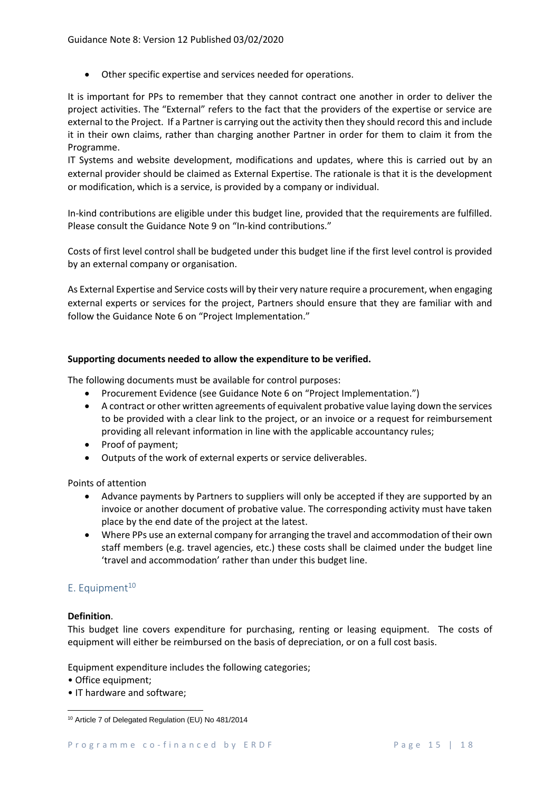• Other specific expertise and services needed for operations.

It is important for PPs to remember that they cannot contract one another in order to deliver the project activities. The "External" refers to the fact that the providers of the expertise or service are external to the Project. If a Partner is carrying out the activity then they should record this and include it in their own claims, rather than charging another Partner in order for them to claim it from the Programme.

IT Systems and website development, modifications and updates, where this is carried out by an external provider should be claimed as External Expertise. The rationale is that it is the development or modification, which is a service, is provided by a company or individual.

In-kind contributions are eligible under this budget line, provided that the requirements are fulfilled. Please consult the Guidance Note 9 on "In-kind contributions."

Costs of first level control shall be budgeted under this budget line if the first level control is provided by an external company or organisation.

As External Expertise and Service costs will by their very nature require a procurement, when engaging external experts or services for the project, Partners should ensure that they are familiar with and follow the Guidance Note 6 on "Project Implementation."

## **Supporting documents needed to allow the expenditure to be verified.**

The following documents must be available for control purposes:

- Procurement Evidence (see Guidance Note 6 on "Project Implementation.")
- A contract or other written agreements of equivalent probative value laying down the services to be provided with a clear link to the project, or an invoice or a request for reimbursement providing all relevant information in line with the applicable accountancy rules;
- Proof of payment;
- Outputs of the work of external experts or service deliverables.

Points of attention

- Advance payments by Partners to suppliers will only be accepted if they are supported by an invoice or another document of probative value. The corresponding activity must have taken place by the end date of the project at the latest.
- Where PPs use an external company for arranging the travel and accommodation of their own staff members (e.g. travel agencies, etc.) these costs shall be claimed under the budget line 'travel and accommodation' rather than under this budget line.

## E. Equipment $10$

## **Definition**.

This budget line covers expenditure for purchasing, renting or leasing equipment. The costs of equipment will either be reimbursed on the basis of depreciation, or on a full cost basis.

Equipment expenditure includes the following categories;

- Office equipment;
- IT hardware and software;

**<sup>.</sup>** <sup>10</sup> Article 7 of Delegated Regulation (EU) No 481/2014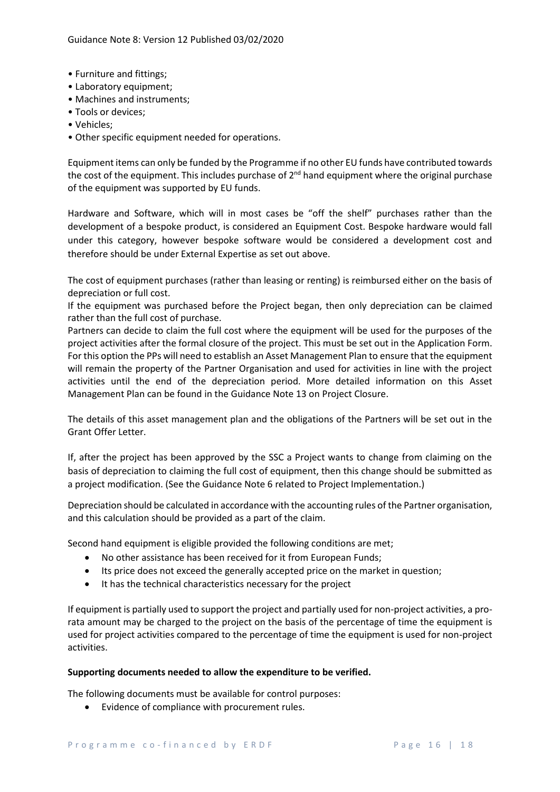- Furniture and fittings;
- Laboratory equipment;
- Machines and instruments;
- Tools or devices;
- Vehicles;
- Other specific equipment needed for operations.

Equipment items can only be funded by the Programme if no other EU funds have contributed towards the cost of the equipment. This includes purchase of  $2^{nd}$  hand equipment where the original purchase of the equipment was supported by EU funds.

Hardware and Software, which will in most cases be "off the shelf" purchases rather than the development of a bespoke product, is considered an Equipment Cost. Bespoke hardware would fall under this category, however bespoke software would be considered a development cost and therefore should be under External Expertise as set out above.

The cost of equipment purchases (rather than leasing or renting) is reimbursed either on the basis of depreciation or full cost.

If the equipment was purchased before the Project began, then only depreciation can be claimed rather than the full cost of purchase.

Partners can decide to claim the full cost where the equipment will be used for the purposes of the project activities after the formal closure of the project. This must be set out in the Application Form. For this option the PPs will need to establish an Asset Management Plan to ensure that the equipment will remain the property of the Partner Organisation and used for activities in line with the project activities until the end of the depreciation period. More detailed information on this Asset Management Plan can be found in the Guidance Note 13 on Project Closure.

The details of this asset management plan and the obligations of the Partners will be set out in the Grant Offer Letter.

If, after the project has been approved by the SSC a Project wants to change from claiming on the basis of depreciation to claiming the full cost of equipment, then this change should be submitted as a project modification. (See the Guidance Note 6 related to Project Implementation.)

Depreciation should be calculated in accordance with the accounting rules of the Partner organisation, and this calculation should be provided as a part of the claim.

Second hand equipment is eligible provided the following conditions are met;

- No other assistance has been received for it from European Funds;
- Its price does not exceed the generally accepted price on the market in question;
- It has the technical characteristics necessary for the project

If equipment is partially used to support the project and partially used for non-project activities, a prorata amount may be charged to the project on the basis of the percentage of time the equipment is used for project activities compared to the percentage of time the equipment is used for non-project activities.

## **Supporting documents needed to allow the expenditure to be verified.**

The following documents must be available for control purposes:

• Evidence of compliance with procurement rules.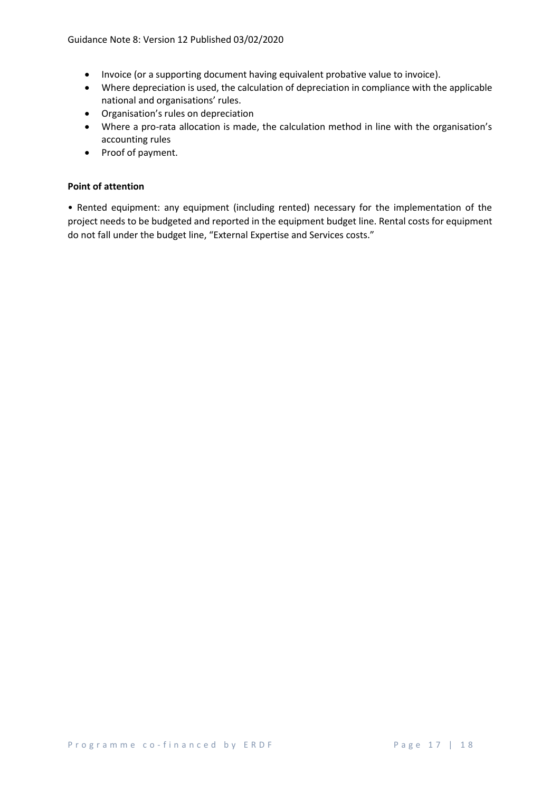- Invoice (or a supporting document having equivalent probative value to invoice).
- Where depreciation is used, the calculation of depreciation in compliance with the applicable national and organisations' rules.
- Organisation's rules on depreciation
- Where a pro-rata allocation is made, the calculation method in line with the organisation's accounting rules
- Proof of payment.

#### **Point of attention**

• Rented equipment: any equipment (including rented) necessary for the implementation of the project needs to be budgeted and reported in the equipment budget line. Rental costs for equipment do not fall under the budget line, "External Expertise and Services costs."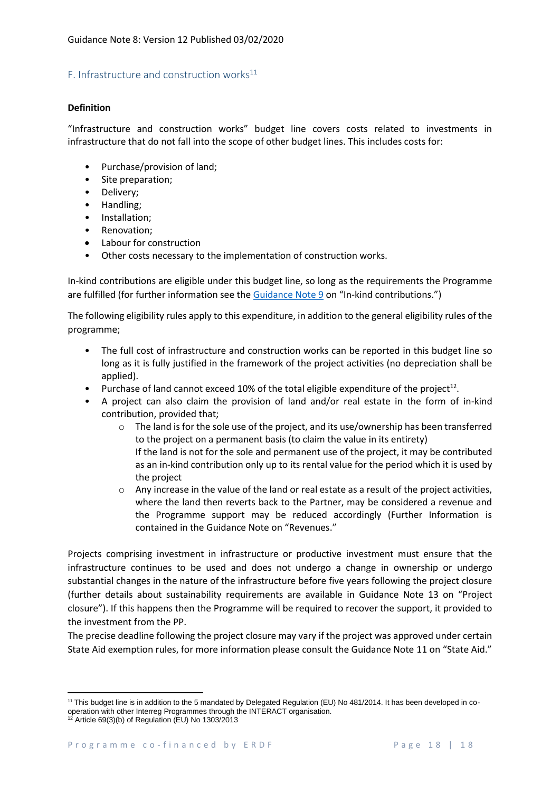## F. Infrastructure and construction works $^{11}$

## **Definition**

"Infrastructure and construction works" budget line covers costs related to investments in infrastructure that do not fall into the scope of other budget lines. This includes costs for:

- Purchase/provision of land;
- Site preparation;
- Delivery;
- Handling;
- Installation;
- Renovation:
- Labour for construction
- Other costs necessary to the implementation of construction works.

In-kind contributions are eligible under this budget line, so long as the requirements the Programme are fulfilled (for further information see the [Guidance Note](https://interreg5a-fce.eu/assets/Uploads/Guidance-Note-9-In-Kind-Contributions.pdf) 9 on "In-kind contributions.")

The following eligibility rules apply to this expenditure, in addition to the general eligibility rules of the programme;

- The full cost of infrastructure and construction works can be reported in this budget line so long as it is fully justified in the framework of the project activities (no depreciation shall be applied).
- Purchase of land cannot exceed 10% of the total eligible expenditure of the project<sup>12</sup>.
- A project can also claim the provision of land and/or real estate in the form of in-kind contribution, provided that;
	- o The land is for the sole use of the project, and its use/ownership has been transferred to the project on a permanent basis (to claim the value in its entirety) If the land is not for the sole and permanent use of the project, it may be contributed as an in-kind contribution only up to its rental value for the period which it is used by the project
	- $\circ$  Any increase in the value of the land or real estate as a result of the project activities, where the land then reverts back to the Partner, may be considered a revenue and the Programme support may be reduced accordingly (Further Information is contained in the Guidance Note on "Revenues."

Projects comprising investment in infrastructure or productive investment must ensure that the infrastructure continues to be used and does not undergo a change in ownership or undergo substantial changes in the nature of the infrastructure before five years following the project closure (further details about sustainability requirements are available in Guidance Note 13 on "Project closure"). If this happens then the Programme will be required to recover the support, it provided to the investment from the PP.

The precise deadline following the project closure may vary if the project was approved under certain State Aid exemption rules, for more information please consult the Guidance Note 11 on "State Aid."

 $\overline{a}$ 

<sup>&</sup>lt;sup>11</sup> This budget line is in addition to the 5 mandated by Delegated Regulation (EU) No 481/2014. It has been developed in cooperation with other Interreg Programmes through the INTERACT organisation.

<sup>12</sup> Article 69(3)(b) of Regulation (EU) No 1303/2013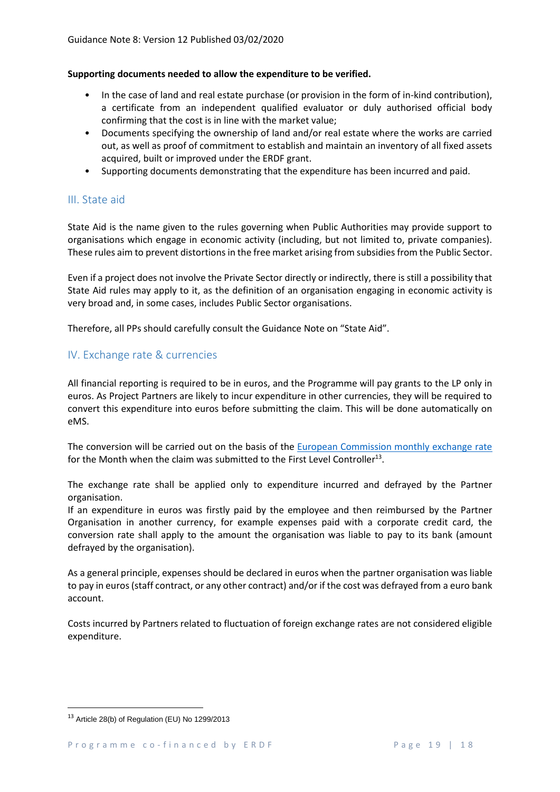#### **Supporting documents needed to allow the expenditure to be verified.**

- In the case of land and real estate purchase (or provision in the form of in-kind contribution), a certificate from an independent qualified evaluator or duly authorised official body confirming that the cost is in line with the market value;
- Documents specifying the ownership of land and/or real estate where the works are carried out, as well as proof of commitment to establish and maintain an inventory of all fixed assets acquired, built or improved under the ERDF grant.
- Supporting documents demonstrating that the expenditure has been incurred and paid.

# III. State aid

State Aid is the name given to the rules governing when Public Authorities may provide support to organisations which engage in economic activity (including, but not limited to, private companies). These rules aim to prevent distortions in the free market arising from subsidies from the Public Sector.

Even if a project does not involve the Private Sector directly or indirectly, there is still a possibility that State Aid rules may apply to it, as the definition of an organisation engaging in economic activity is very broad and, in some cases, includes Public Sector organisations.

Therefore, all PPs should carefully consult the Guidance Note on "State Aid".

# IV. Exchange rate & currencies

All financial reporting is required to be in euros, and the Programme will pay grants to the LP only in euros. As Project Partners are likely to incur expenditure in other currencies, they will be required to convert this expenditure into euros before submitting the claim. This will be done automatically on eMS.

The conversion will be carried out on the basis of the [European Commission monthly exchange rate](http://ec.europa.eu/budget/contracts_grants/info_contracts/inforeuro/inforeuro_en.cfm) for the Month when the claim was submitted to the First Level Controller<sup>13</sup>.

The exchange rate shall be applied only to expenditure incurred and defrayed by the Partner organisation.

If an expenditure in euros was firstly paid by the employee and then reimbursed by the Partner Organisation in another currency, for example expenses paid with a corporate credit card, the conversion rate shall apply to the amount the organisation was liable to pay to its bank (amount defrayed by the organisation).

As a general principle, expenses should be declared in euros when the partner organisation was liable to pay in euros(staff contract, or any other contract) and/or if the cost was defrayed from a euro bank account.

Costs incurred by Partners related to fluctuation of foreign exchange rates are not considered eligible expenditure.

**.** 

<sup>&</sup>lt;sup>13</sup> Article 28(b) of Regulation (EU) No 1299/2013